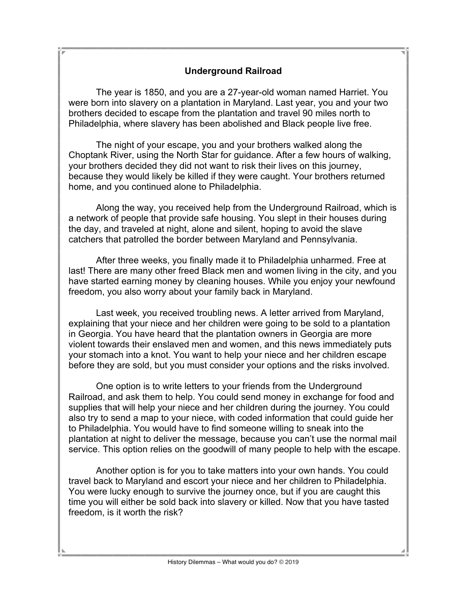## **Underground Railroad**

The year is 1850, and you are a 27-year-old woman named Harriet. You were born into slavery on a plantation in Maryland. Last year, you and your two brothers decided to escape from the plantation and travel 90 miles north to Philadelphia, where slavery has been abolished and Black people live free.

The night of your escape, you and your brothers walked along the Choptank River, using the North Star for guidance. After a few hours of walking, your brothers decided they did not want to risk their lives on this journey, because they would likely be killed if they were caught. Your brothers returned home, and you continued alone to Philadelphia.

Along the way, you received help from the Underground Railroad, which is a network of people that provide safe housing. You slept in their houses during the day, and traveled at night, alone and silent, hoping to avoid the slave catchers that patrolled the border between Maryland and Pennsylvania.

After three weeks, you finally made it to Philadelphia unharmed. Free at last! There are many other freed Black men and women living in the city, and you have started earning money by cleaning houses. While you enjoy your newfound freedom, you also worry about your family back in Maryland.

Last week, you received troubling news. A letter arrived from Maryland, explaining that your niece and her children were going to be sold to a plantation in Georgia. You have heard that the plantation owners in Georgia are more violent towards their enslaved men and women, and this news immediately puts your stomach into a knot. You want to help your niece and her children escape before they are sold, but you must consider your options and the risks involved.

One option is to write letters to your friends from the Underground Railroad, and ask them to help. You could send money in exchange for food and supplies that will help your niece and her children during the journey. You could also try to send a map to your niece, with coded information that could guide her to Philadelphia. You would have to find someone willing to sneak into the plantation at night to deliver the message, because you can't use the normal mail service. This option relies on the goodwill of many people to help with the escape.

Another option is for you to take matters into your own hands. You could travel back to Maryland and escort your niece and her children to Philadelphia. You were lucky enough to survive the journey once, but if you are caught this time you will either be sold back into slavery or killed. Now that you have tasted freedom, is it worth the risk?